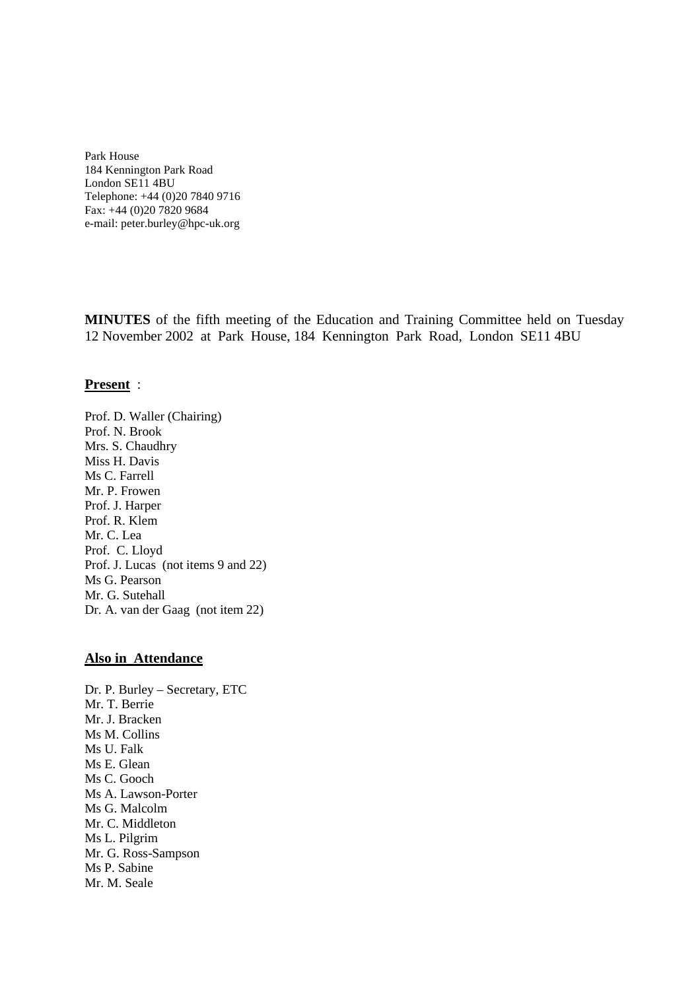Park House 184 Kennington Park Road London SE11 4BU Telephone: +44 (0)20 7840 9716 Fax: +44 (0)20 7820 9684 e-mail: peter.burley@hpc-uk.org

**MINUTES** of the fifth meeting of the Education and Training Committee held on Tuesday 12 November 2002 at Park House, 184 Kennington Park Road, London SE11 4BU

#### **Present** :

Prof. D. Waller (Chairing) Prof. N. Brook Mrs. S. Chaudhry Miss H. Davis Ms C. Farrell Mr. P. Frowen Prof. J. Harper Prof. R. Klem Mr. C. Lea Prof. C. Lloyd Prof. J. Lucas (not items 9 and 22) Ms G. Pearson Mr. G. Sutehall Dr. A. van der Gaag (not item 22)

#### **Also in Attendance**

Dr. P. Burley – Secretary, ETC Mr. T. Berrie Mr. J. Bracken Ms M. Collins Ms U. Falk Ms E. Glean Ms C. Gooch Ms A. Lawson-Porter Ms G. Malcolm Mr. C. Middleton Ms L. Pilgrim Mr. G. Ross-Sampson Ms P. Sabine Mr. M. Seale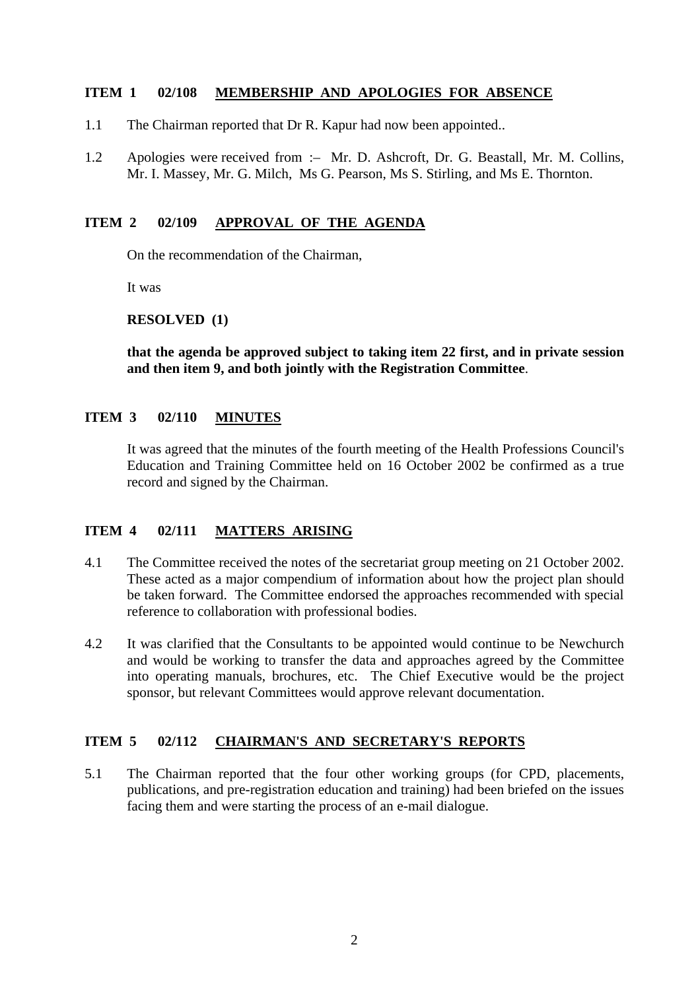## **ITEM 1 02/108 MEMBERSHIP AND APOLOGIES FOR ABSENCE**

- 1.1 The Chairman reported that Dr R. Kapur had now been appointed..
- 1.2 Apologies were received from :– Mr. D. Ashcroft, Dr. G. Beastall, Mr. M. Collins, Mr. I. Massey, Mr. G. Milch, Ms G. Pearson, Ms S. Stirling, and Ms E. Thornton.

### **ITEM 2 02/109 APPROVAL OF THE AGENDA**

On the recommendation of the Chairman,

It was

**RESOLVED (1)**

**that the agenda be approved subject to taking item 22 first, and in private session and then item 9, and both jointly with the Registration Committee**.

## **ITEM 3 02/110 MINUTES**

It was agreed that the minutes of the fourth meeting of the Health Professions Council's Education and Training Committee held on 16 October 2002 be confirmed as a true record and signed by the Chairman.

# **ITEM 4 02/111 MATTERS ARISING**

- 4.1 The Committee received the notes of the secretariat group meeting on 21 October 2002. These acted as a major compendium of information about how the project plan should be taken forward. The Committee endorsed the approaches recommended with special reference to collaboration with professional bodies.
- 4.2 It was clarified that the Consultants to be appointed would continue to be Newchurch and would be working to transfer the data and approaches agreed by the Committee into operating manuals, brochures, etc. The Chief Executive would be the project sponsor, but relevant Committees would approve relevant documentation.

## **ITEM 5 02/112 CHAIRMAN'S AND SECRETARY'S REPORTS**

5.1 The Chairman reported that the four other working groups (for CPD, placements, publications, and pre-registration education and training) had been briefed on the issues facing them and were starting the process of an e-mail dialogue.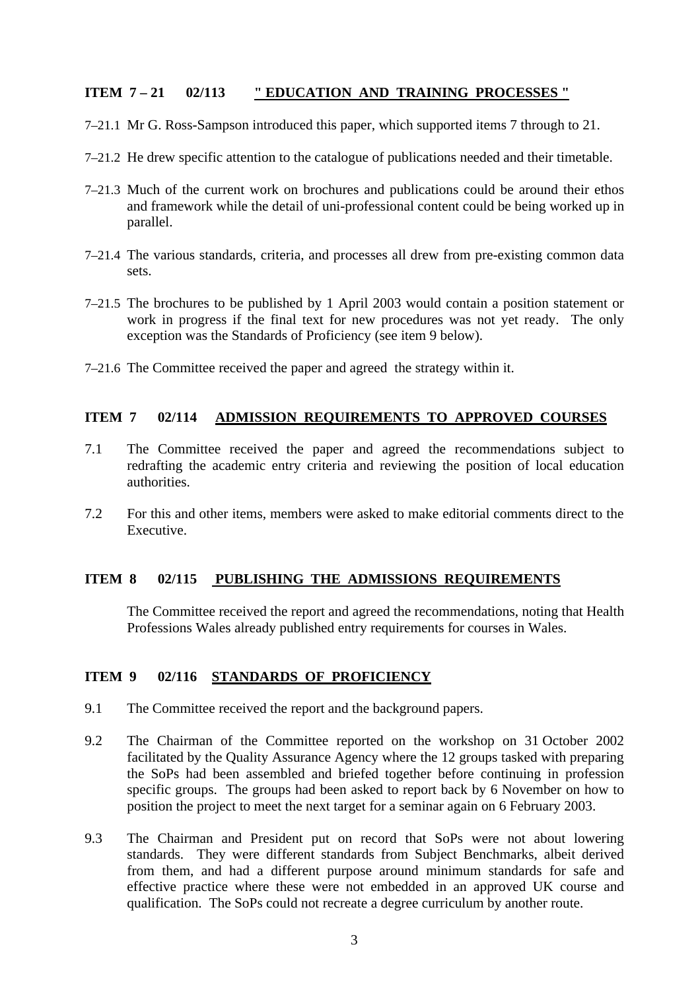# **ITEM 7 – 21 02/113 " EDUCATION AND TRAINING PROCESSES "**

- 7–21.1 Mr G. Ross-Sampson introduced this paper, which supported items 7 through to 21.
- 7–21.2 He drew specific attention to the catalogue of publications needed and their timetable.
- 7–21.3 Much of the current work on brochures and publications could be around their ethos and framework while the detail of uni-professional content could be being worked up in parallel.
- 7–21.4 The various standards, criteria, and processes all drew from pre-existing common data sets.
- 7–21.5 The brochures to be published by 1 April 2003 would contain a position statement or work in progress if the final text for new procedures was not yet ready. The only exception was the Standards of Proficiency (see item 9 below).
- 7–21.6 The Committee received the paper and agreed the strategy within it.

# **ITEM 7 02/114 ADMISSION REQUIREMENTS TO APPROVED COURSES**

- 7.1 The Committee received the paper and agreed the recommendations subject to redrafting the academic entry criteria and reviewing the position of local education authorities.
- 7.2 For this and other items, members were asked to make editorial comments direct to the Executive.

# **ITEM 8 02/115 PUBLISHING THE ADMISSIONS REQUIREMENTS**

The Committee received the report and agreed the recommendations, noting that Health Professions Wales already published entry requirements for courses in Wales.

# **ITEM 9 02/116 STANDARDS OF PROFICIENCY**

- 9.1 The Committee received the report and the background papers.
- 9.2 The Chairman of the Committee reported on the workshop on 31 October 2002 facilitated by the Quality Assurance Agency where the 12 groups tasked with preparing the SoPs had been assembled and briefed together before continuing in profession specific groups. The groups had been asked to report back by 6 November on how to position the project to meet the next target for a seminar again on 6 February 2003.
- 9.3 The Chairman and President put on record that SoPs were not about lowering standards. They were different standards from Subject Benchmarks, albeit derived from them, and had a different purpose around minimum standards for safe and effective practice where these were not embedded in an approved UK course and qualification. The SoPs could not recreate a degree curriculum by another route.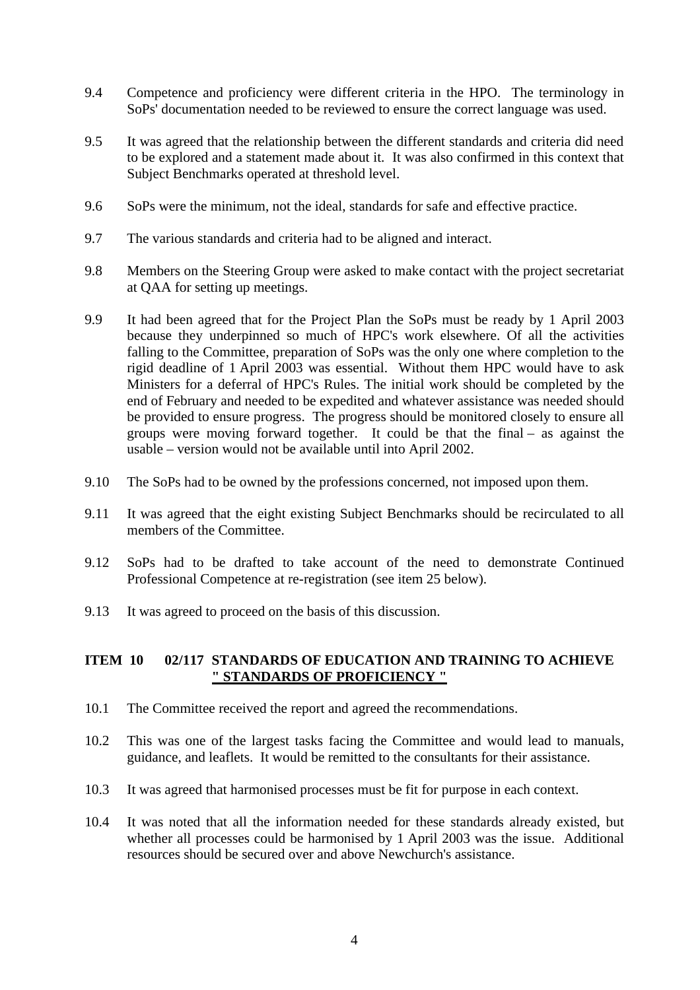- 9.4 Competence and proficiency were different criteria in the HPO. The terminology in SoPs' documentation needed to be reviewed to ensure the correct language was used.
- 9.5 It was agreed that the relationship between the different standards and criteria did need to be explored and a statement made about it. It was also confirmed in this context that Subject Benchmarks operated at threshold level.
- 9.6 SoPs were the minimum, not the ideal, standards for safe and effective practice.
- 9.7 The various standards and criteria had to be aligned and interact.
- 9.8 Members on the Steering Group were asked to make contact with the project secretariat at QAA for setting up meetings.
- 9.9 It had been agreed that for the Project Plan the SoPs must be ready by 1 April 2003 because they underpinned so much of HPC's work elsewhere. Of all the activities falling to the Committee, preparation of SoPs was the only one where completion to the rigid deadline of 1 April 2003 was essential. Without them HPC would have to ask Ministers for a deferral of HPC's Rules. The initial work should be completed by the end of February and needed to be expedited and whatever assistance was needed should be provided to ensure progress. The progress should be monitored closely to ensure all groups were moving forward together. It could be that the final – as against the usable – version would not be available until into April 2002.
- 9.10 The SoPs had to be owned by the professions concerned, not imposed upon them.
- 9.11 It was agreed that the eight existing Subject Benchmarks should be recirculated to all members of the Committee.
- 9.12 SoPs had to be drafted to take account of the need to demonstrate Continued Professional Competence at re-registration (see item 25 below).
- 9.13 It was agreed to proceed on the basis of this discussion.

## **ITEM 10 02/117 STANDARDS OF EDUCATION AND TRAINING TO ACHIEVE " STANDARDS OF PROFICIENCY "**

- 10.1 The Committee received the report and agreed the recommendations.
- 10.2 This was one of the largest tasks facing the Committee and would lead to manuals, guidance, and leaflets. It would be remitted to the consultants for their assistance.
- 10.3 It was agreed that harmonised processes must be fit for purpose in each context.
- 10.4 It was noted that all the information needed for these standards already existed, but whether all processes could be harmonised by 1 April 2003 was the issue. Additional resources should be secured over and above Newchurch's assistance.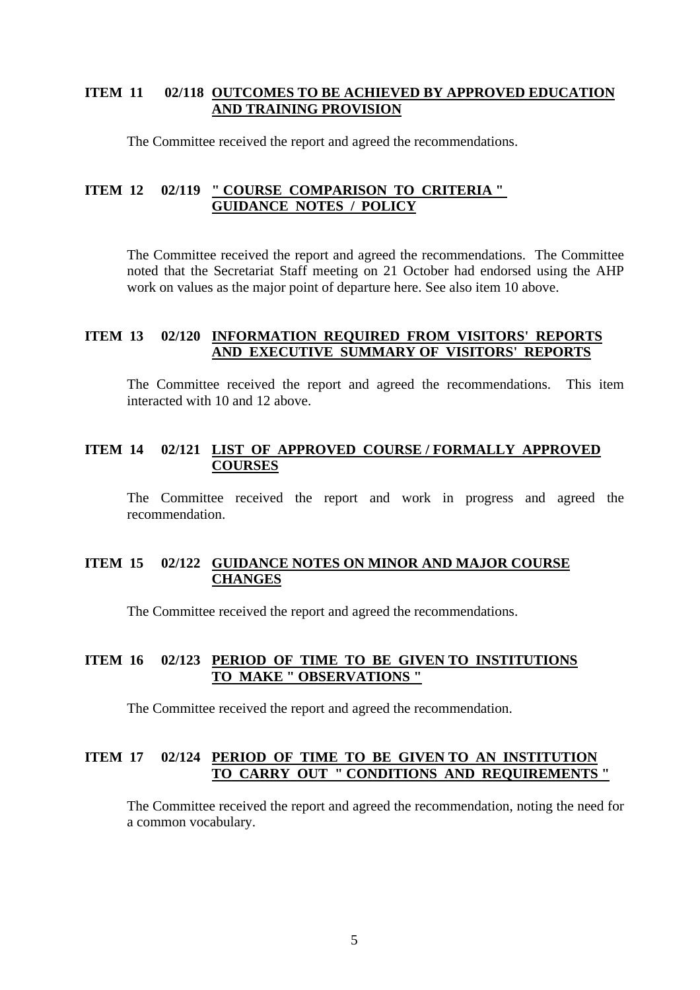## **ITEM 11 02/118 OUTCOMES TO BE ACHIEVED BY APPROVED EDUCATION AND TRAINING PROVISION**

The Committee received the report and agreed the recommendations.

### **ITEM 12 02/119 " COURSE COMPARISON TO CRITERIA " GUIDANCE NOTES / POLICY**

The Committee received the report and agreed the recommendations. The Committee noted that the Secretariat Staff meeting on 21 October had endorsed using the AHP work on values as the major point of departure here. See also item 10 above.

## **ITEM 13 02/120 INFORMATION REQUIRED FROM VISITORS' REPORTS AND EXECUTIVE SUMMARY OF VISITORS' REPORTS**

The Committee received the report and agreed the recommendations. This item interacted with 10 and 12 above.

## **ITEM 14 02/121 LIST OF APPROVED COURSE / FORMALLY APPROVED COURSES**

The Committee received the report and work in progress and agreed the recommendation.

## **ITEM 15 02/122 GUIDANCE NOTES ON MINOR AND MAJOR COURSE CHANGES**

The Committee received the report and agreed the recommendations.

## **ITEM 16 02/123 PERIOD OF TIME TO BE GIVEN TO INSTITUTIONS TO MAKE " OBSERVATIONS "**

The Committee received the report and agreed the recommendation.

### **ITEM 17 02/124 PERIOD OF TIME TO BE GIVEN TO AN INSTITUTION TO CARRY OUT " CONDITIONS AND REQUIREMENTS "**

The Committee received the report and agreed the recommendation, noting the need for a common vocabulary.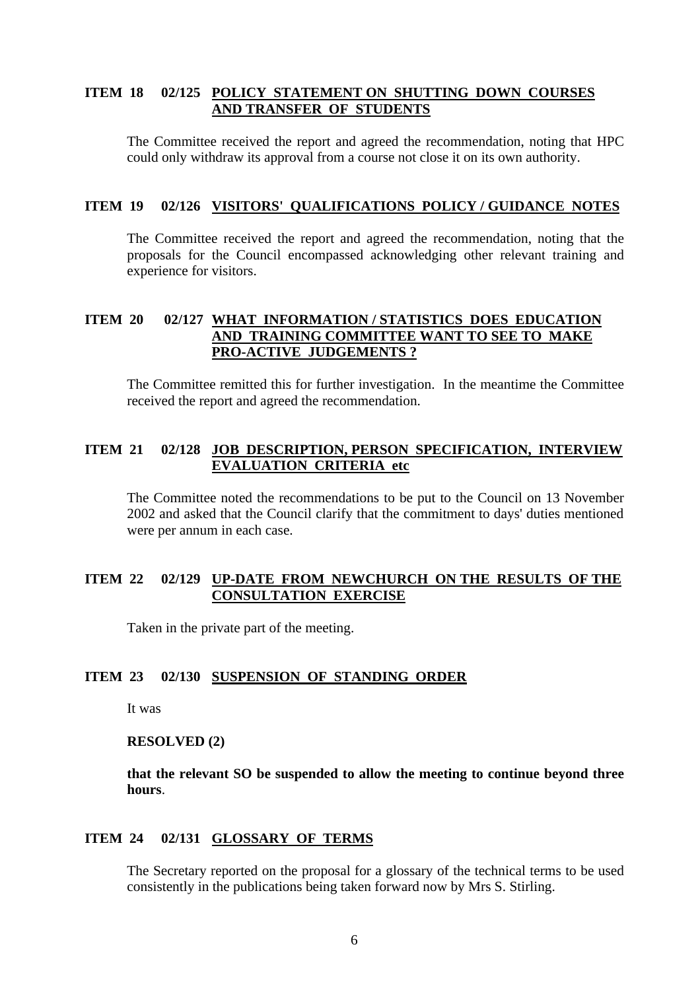## **ITEM 18 02/125 POLICY STATEMENT ON SHUTTING DOWN COURSES AND TRANSFER OF STUDENTS**

The Committee received the report and agreed the recommendation, noting that HPC could only withdraw its approval from a course not close it on its own authority.

#### **ITEM 19 02/126 VISITORS' QUALIFICATIONS POLICY / GUIDANCE NOTES**

The Committee received the report and agreed the recommendation, noting that the proposals for the Council encompassed acknowledging other relevant training and experience for visitors.

# **ITEM 20 02/127 WHAT INFORMATION / STATISTICS DOES EDUCATION AND TRAINING COMMITTEE WANT TO SEE TO MAKE PRO-ACTIVE JUDGEMENTS ?**

The Committee remitted this for further investigation. In the meantime the Committee received the report and agreed the recommendation.

## **ITEM 21 02/128 JOB DESCRIPTION, PERSON SPECIFICATION, INTERVIEW EVALUATION CRITERIA etc**

The Committee noted the recommendations to be put to the Council on 13 November 2002 and asked that the Council clarify that the commitment to days' duties mentioned were per annum in each case.

## **ITEM 22 02/129 UP-DATE FROM NEWCHURCH ON THE RESULTS OF THE CONSULTATION EXERCISE**

Taken in the private part of the meeting.

### **ITEM 23 02/130 SUSPENSION OF STANDING ORDER**

It was

#### **RESOLVED (2)**

**that the relevant SO be suspended to allow the meeting to continue beyond three hours**.

#### **ITEM 24 02/131 GLOSSARY OF TERMS**

The Secretary reported on the proposal for a glossary of the technical terms to be used consistently in the publications being taken forward now by Mrs S. Stirling.